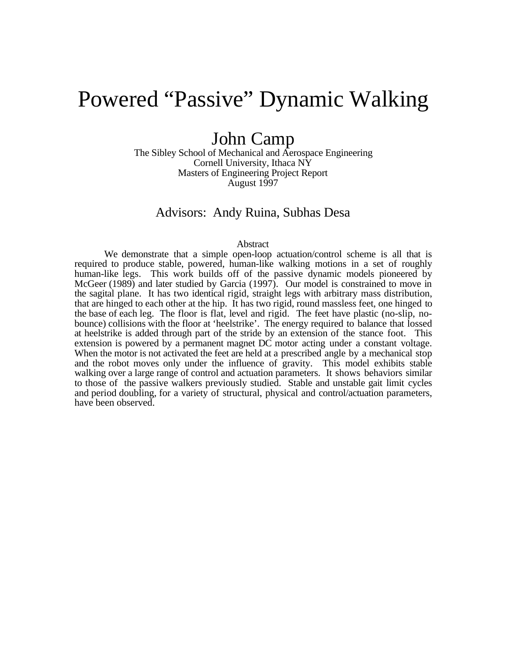# Powered "Passive" Dynamic Walking

## John Camp

The Sibley School of Mechanical and Aerospace Engineering Cornell University, Ithaca NY Masters of Engineering Project Report August 1997

### Advisors: Andy Ruina, Subhas Desa

#### Abstract

We demonstrate that a simple open-loop actuation/control scheme is all that is required to produce stable, powered, human-like walking motions in a set of roughly human-like legs. This work builds off of the passive dynamic models pioneered by McGeer (1989) and later studied by Garcia (1997). Our model is constrained to move in the sagital plane. It has two identical rigid, straight legs with arbitrary mass distribution, that are hinged to each other at the hip. It has two rigid, round massless feet, one hinged to the base of each leg. The floor is flat, level and rigid. The feet have plastic (no-slip, nobounce) collisions with the floor at 'heelstrike'. The energy required to balance that lossed at heelstrike is added through part of the stride by an extension of the stance foot. This extension is powered by a permanent magnet DC motor acting under a constant voltage. When the motor is not activated the feet are held at a prescribed angle by a mechanical stop and the robot moves only under the influence of gravity. This model exhibits stable walking over a large range of control and actuation parameters. It shows behaviors similar to those of the passive walkers previously studied. Stable and unstable gait limit cycles and period doubling, for a variety of structural, physical and control/actuation parameters, have been observed.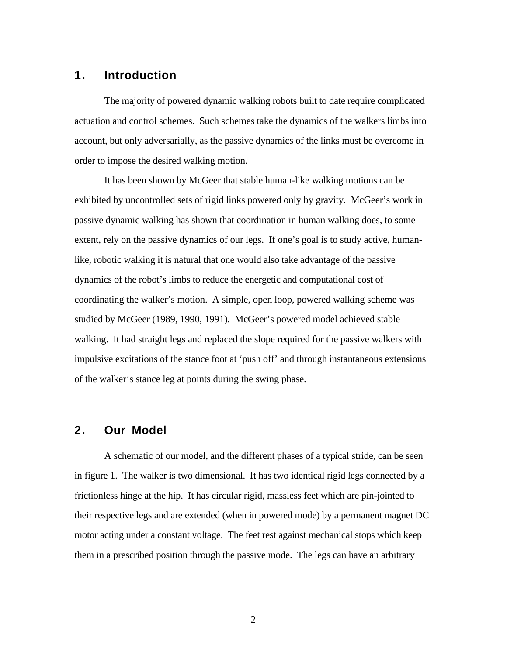### **1. Introduction**

The majority of powered dynamic walking robots built to date require complicated actuation and control schemes. Such schemes take the dynamics of the walkers limbs into account, but only adversarially, as the passive dynamics of the links must be overcome in order to impose the desired walking motion.

It has been shown by McGeer that stable human-like walking motions can be exhibited by uncontrolled sets of rigid links powered only by gravity. McGeer's work in passive dynamic walking has shown that coordination in human walking does, to some extent, rely on the passive dynamics of our legs. If one's goal is to study active, humanlike, robotic walking it is natural that one would also take advantage of the passive dynamics of the robot's limbs to reduce the energetic and computational cost of coordinating the walker's motion. A simple, open loop, powered walking scheme was studied by McGeer (1989, 1990, 1991). McGeer's powered model achieved stable walking. It had straight legs and replaced the slope required for the passive walkers with impulsive excitations of the stance foot at 'push off' and through instantaneous extensions of the walker's stance leg at points during the swing phase.

#### **2. Our Model**

A schematic of our model, and the different phases of a typical stride, can be seen in figure 1. The walker is two dimensional. It has two identical rigid legs connected by a frictionless hinge at the hip. It has circular rigid, massless feet which are pin-jointed to their respective legs and are extended (when in powered mode) by a permanent magnet DC motor acting under a constant voltage. The feet rest against mechanical stops which keep them in a prescribed position through the passive mode. The legs can have an arbitrary

2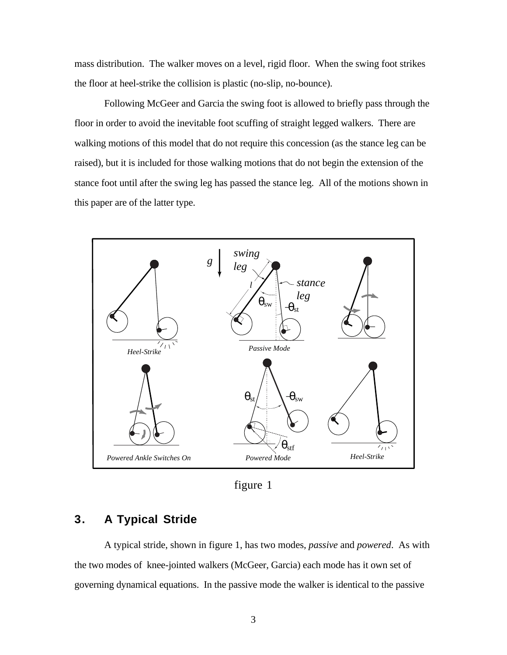mass distribution. The walker moves on a level, rigid floor. When the swing foot strikes the floor at heel-strike the collision is plastic (no-slip, no-bounce).

Following McGeer and Garcia the swing foot is allowed to briefly pass through the floor in order to avoid the inevitable foot scuffing of straight legged walkers. There are walking motions of this model that do not require this concession (as the stance leg can be raised), but it is included for those walking motions that do not begin the extension of the stance foot until after the swing leg has passed the stance leg. All of the motions shown in this paper are of the latter type.



figure 1

### **3. A Typical Stride**

A typical stride, shown in figure 1, has two modes, *passive* and *powered*. As with the two modes of knee-jointed walkers (McGeer, Garcia) each mode has it own set of governing dynamical equations. In the passive mode the walker is identical to the passive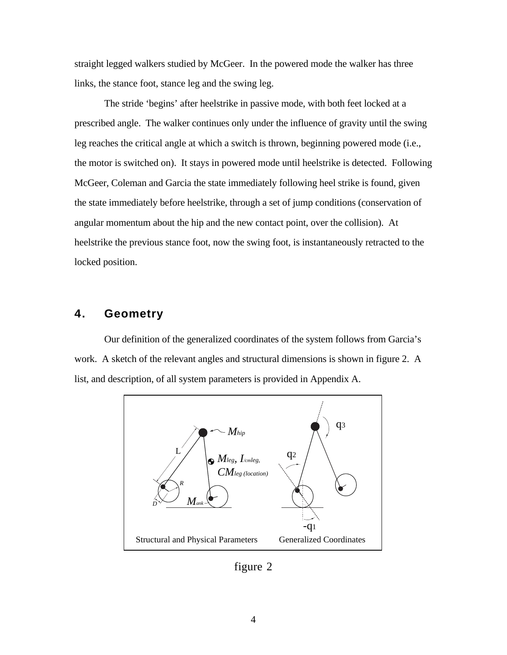straight legged walkers studied by McGeer. In the powered mode the walker has three links, the stance foot, stance leg and the swing leg.

The stride 'begins' after heelstrike in passive mode, with both feet locked at a prescribed angle. The walker continues only under the influence of gravity until the swing leg reaches the critical angle at which a switch is thrown, beginning powered mode (i.e., the motor is switched on). It stays in powered mode until heelstrike is detected. Following McGeer, Coleman and Garcia the state immediately following heel strike is found, given the state immediately before heelstrike, through a set of jump conditions (conservation of angular momentum about the hip and the new contact point, over the collision). At heelstrike the previous stance foot, now the swing foot, is instantaneously retracted to the locked position.

### **4. Geometry**

Our definition of the generalized coordinates of the system follows from Garcia's work. A sketch of the relevant angles and structural dimensions is shown in figure 2. A list, and description, of all system parameters is provided in Appendix A.



figure 2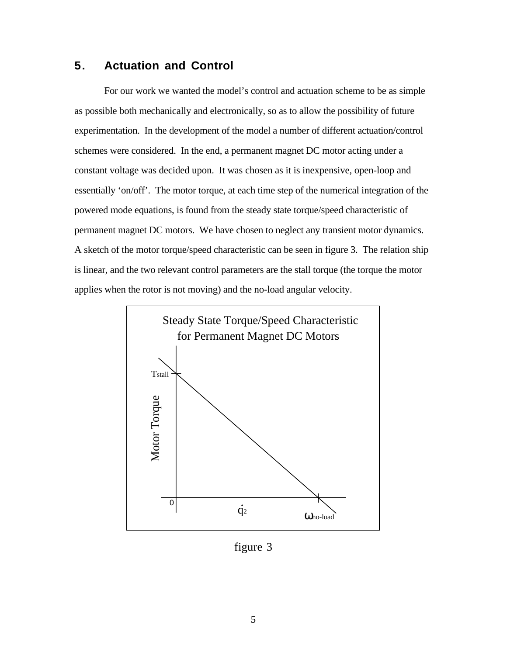### **5. Actuation and Control**

For our work we wanted the model's control and actuation scheme to be as simple as possible both mechanically and electronically, so as to allow the possibility of future experimentation. In the development of the model a number of different actuation/control schemes were considered. In the end, a permanent magnet DC motor acting under a constant voltage was decided upon. It was chosen as it is inexpensive, open-loop and essentially 'on/off'. The motor torque, at each time step of the numerical integration of the powered mode equations, is found from the steady state torque/speed characteristic of permanent magnet DC motors. We have chosen to neglect any transient motor dynamics. A sketch of the motor torque/speed characteristic can be seen in figure 3. The relation ship is linear, and the two relevant control parameters are the stall torque (the torque the motor applies when the rotor is not moving) and the no-load angular velocity.



figure 3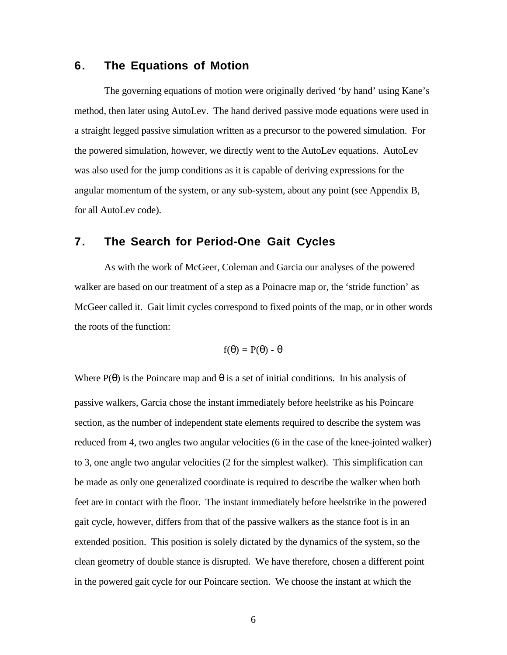### **6. The Equations of Motion**

The governing equations of motion were originally derived 'by hand' using Kane's method, then later using AutoLev. The hand derived passive mode equations were used in a straight legged passive simulation written as a precursor to the powered simulation. For the powered simulation, however, we directly went to the AutoLev equations. AutoLev was also used for the jump conditions as it is capable of deriving expressions for the angular momentum of the system, or any sub-system, about any point (see Appendix B, for all AutoLev code).

### **7. The Search for Period-One Gait Cycles**

As with the work of McGeer, Coleman and Garcia our analyses of the powered walker are based on our treatment of a step as a Poinacre map or, the 'stride function' as McGeer called it. Gait limit cycles correspond to fixed points of the map, or in other words the roots of the function:

$$
f(\theta) = P(\theta) - \theta
$$

Where  $P(\theta)$  is the Poincare map and  $\theta$  is a set of initial conditions. In his analysis of passive walkers, Garcia chose the instant immediately before heelstrike as his Poincare section, as the number of independent state elements required to describe the system was reduced from 4, two angles two angular velocities (6 in the case of the knee-jointed walker) to 3, one angle two angular velocities (2 for the simplest walker). This simplification can be made as only one generalized coordinate is required to describe the walker when both feet are in contact with the floor. The instant immediately before heelstrike in the powered gait cycle, however, differs from that of the passive walkers as the stance foot is in an extended position. This position is solely dictated by the dynamics of the system, so the clean geometry of double stance is disrupted. We have therefore, chosen a different point in the powered gait cycle for our Poincare section. We choose the instant at which the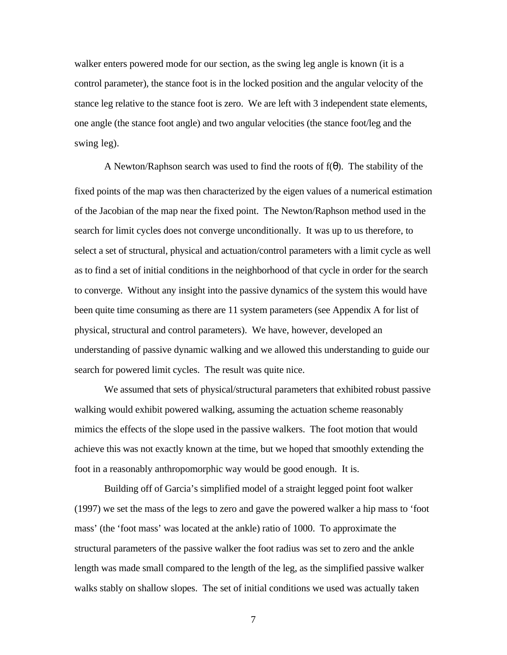walker enters powered mode for our section, as the swing leg angle is known (it is a control parameter), the stance foot is in the locked position and the angular velocity of the stance leg relative to the stance foot is zero. We are left with 3 independent state elements, one angle (the stance foot angle) and two angular velocities (the stance foot/leg and the swing leg).

A Newton/Raphson search was used to find the roots of  $f(\theta)$ . The stability of the fixed points of the map was then characterized by the eigen values of a numerical estimation of the Jacobian of the map near the fixed point. The Newton/Raphson method used in the search for limit cycles does not converge unconditionally. It was up to us therefore, to select a set of structural, physical and actuation/control parameters with a limit cycle as well as to find a set of initial conditions in the neighborhood of that cycle in order for the search to converge. Without any insight into the passive dynamics of the system this would have been quite time consuming as there are 11 system parameters (see Appendix A for list of physical, structural and control parameters). We have, however, developed an understanding of passive dynamic walking and we allowed this understanding to guide our search for powered limit cycles. The result was quite nice.

We assumed that sets of physical/structural parameters that exhibited robust passive walking would exhibit powered walking, assuming the actuation scheme reasonably mimics the effects of the slope used in the passive walkers. The foot motion that would achieve this was not exactly known at the time, but we hoped that smoothly extending the foot in a reasonably anthropomorphic way would be good enough. It is.

Building off of Garcia's simplified model of a straight legged point foot walker (1997) we set the mass of the legs to zero and gave the powered walker a hip mass to 'foot mass' (the 'foot mass' was located at the ankle) ratio of 1000. To approximate the structural parameters of the passive walker the foot radius was set to zero and the ankle length was made small compared to the length of the leg, as the simplified passive walker walks stably on shallow slopes. The set of initial conditions we used was actually taken

7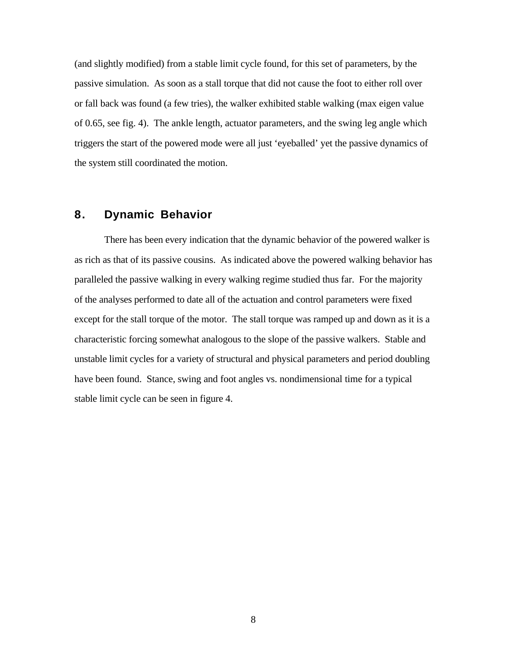(and slightly modified) from a stable limit cycle found, for this set of parameters, by the passive simulation. As soon as a stall torque that did not cause the foot to either roll over or fall back was found (a few tries), the walker exhibited stable walking (max eigen value of 0.65, see fig. 4). The ankle length, actuator parameters, and the swing leg angle which triggers the start of the powered mode were all just 'eyeballed' yet the passive dynamics of the system still coordinated the motion.

### **8. Dynamic Behavior**

There has been every indication that the dynamic behavior of the powered walker is as rich as that of its passive cousins. As indicated above the powered walking behavior has paralleled the passive walking in every walking regime studied thus far. For the majority of the analyses performed to date all of the actuation and control parameters were fixed except for the stall torque of the motor. The stall torque was ramped up and down as it is a characteristic forcing somewhat analogous to the slope of the passive walkers. Stable and unstable limit cycles for a variety of structural and physical parameters and period doubling have been found. Stance, swing and foot angles vs. nondimensional time for a typical stable limit cycle can be seen in figure 4.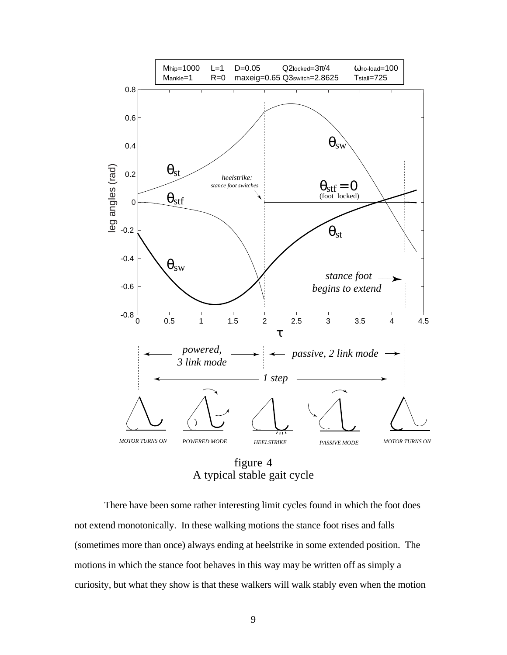

figure 4 A typical stable gait cycle

There have been some rather interesting limit cycles found in which the foot does not extend monotonically. In these walking motions the stance foot rises and falls (sometimes more than once) always ending at heelstrike in some extended position. The motions in which the stance foot behaves in this way may be written off as simply a curiosity, but what they show is that these walkers will walk stably even when the motion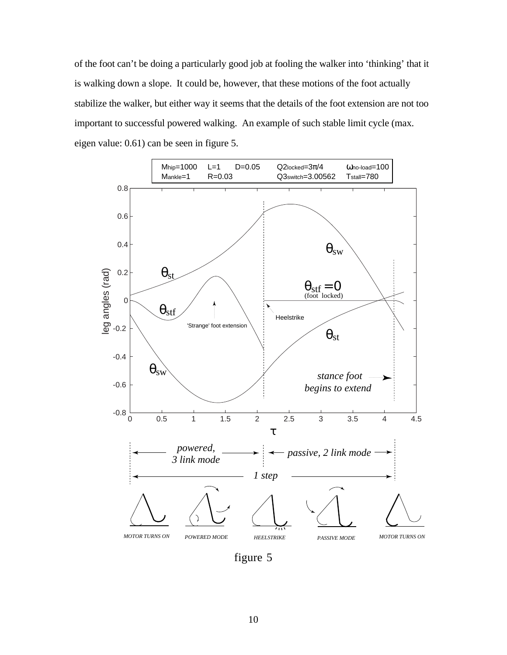of the foot can't be doing a particularly good job at fooling the walker into 'thinking' that it is walking down a slope. It could be, however, that these motions of the foot actually stabilize the walker, but either way it seems that the details of the foot extension are not too important to successful powered walking. An example of such stable limit cycle (max. eigen value: 0.61) can be seen in figure 5.



figure 5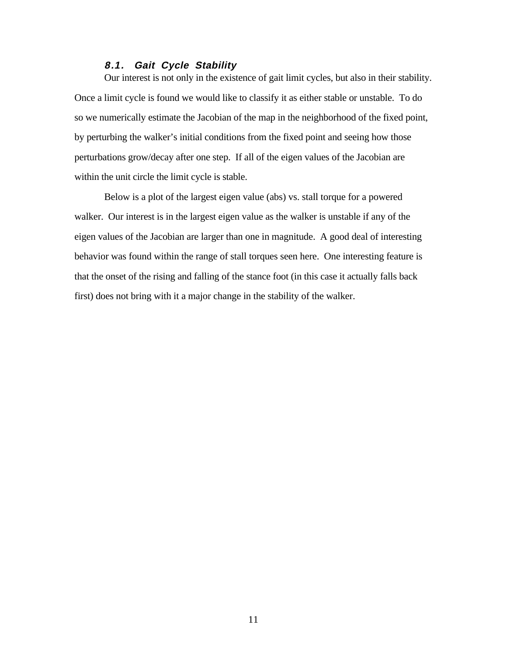#### **8.1. Gait Cycle Stability**

Our interest is not only in the existence of gait limit cycles, but also in their stability. Once a limit cycle is found we would like to classify it as either stable or unstable. To do so we numerically estimate the Jacobian of the map in the neighborhood of the fixed point, by perturbing the walker's initial conditions from the fixed point and seeing how those perturbations grow/decay after one step. If all of the eigen values of the Jacobian are within the unit circle the limit cycle is stable.

Below is a plot of the largest eigen value (abs) vs. stall torque for a powered walker. Our interest is in the largest eigen value as the walker is unstable if any of the eigen values of the Jacobian are larger than one in magnitude. A good deal of interesting behavior was found within the range of stall torques seen here. One interesting feature is that the onset of the rising and falling of the stance foot (in this case it actually falls back first) does not bring with it a major change in the stability of the walker.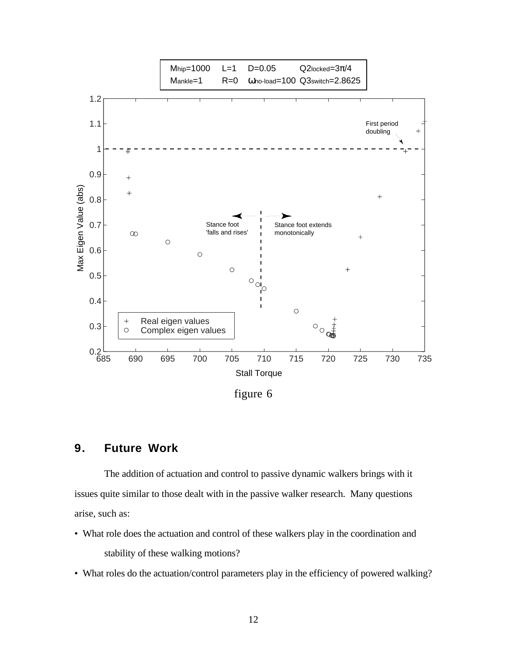

### figure 6

### **9. Future Work**

The addition of actuation and control to passive dynamic walkers brings with it issues quite similar to those dealt with in the passive walker research. Many questions arise, such as:

- What role does the actuation and control of these walkers play in the coordination and stability of these walking motions?
- What roles do the actuation/control parameters play in the efficiency of powered walking?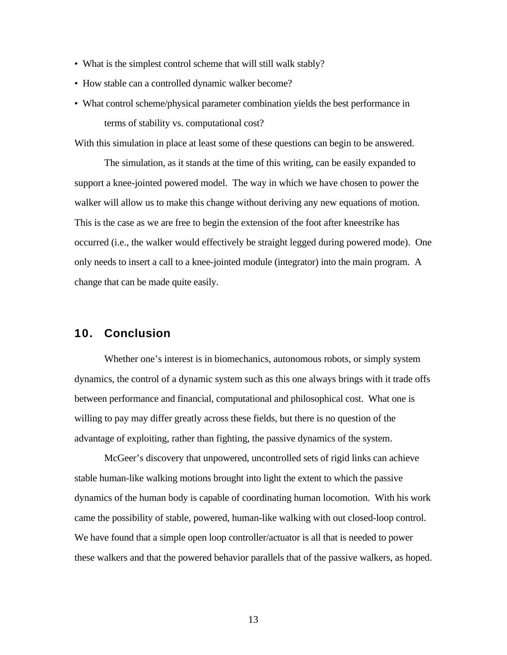- What is the simplest control scheme that will still walk stably?
- How stable can a controlled dynamic walker become?
- What control scheme/physical parameter combination yields the best performance in terms of stability vs. computational cost?

With this simulation in place at least some of these questions can begin to be answered.

The simulation, as it stands at the time of this writing, can be easily expanded to support a knee-jointed powered model. The way in which we have chosen to power the walker will allow us to make this change without deriving any new equations of motion. This is the case as we are free to begin the extension of the foot after kneestrike has occurred (i.e., the walker would effectively be straight legged during powered mode). One only needs to insert a call to a knee-jointed module (integrator) into the main program. A change that can be made quite easily.

#### **10. Conclusion**

Whether one's interest is in biomechanics, autonomous robots, or simply system dynamics, the control of a dynamic system such as this one always brings with it trade offs between performance and financial, computational and philosophical cost. What one is willing to pay may differ greatly across these fields, but there is no question of the advantage of exploiting, rather than fighting, the passive dynamics of the system.

McGeer's discovery that unpowered, uncontrolled sets of rigid links can achieve stable human-like walking motions brought into light the extent to which the passive dynamics of the human body is capable of coordinating human locomotion. With his work came the possibility of stable, powered, human-like walking with out closed-loop control. We have found that a simple open loop controller/actuator is all that is needed to power these walkers and that the powered behavior parallels that of the passive walkers, as hoped.

13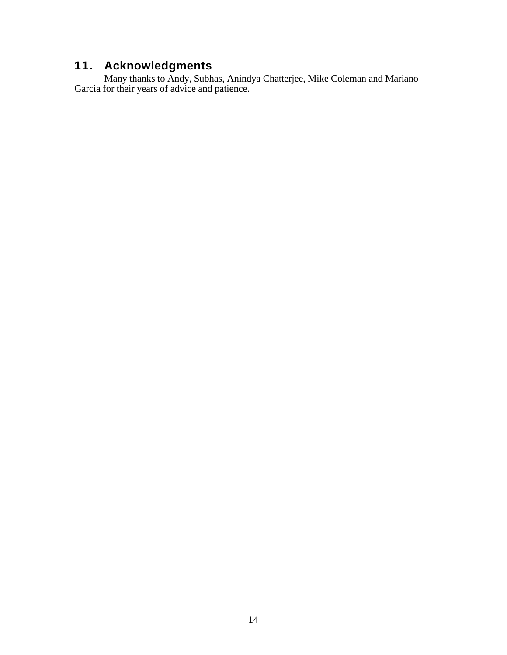### **11. Acknowledgments**

Many thanks to Andy, Subhas, Anindya Chatterjee, Mike Coleman and Mariano Garcia for their years of advice and patience.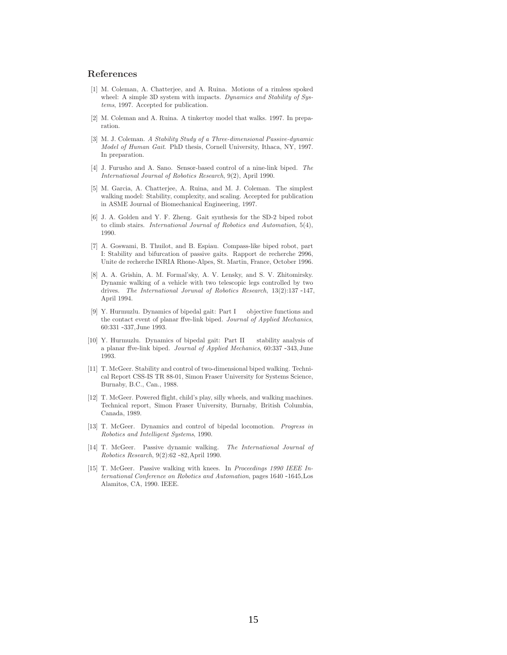#### **References**

- [1] M. Coleman, A. Chatterjee, and A. Ruina. Motions of a rimless spoked wheel: A simple 3D system with impacts. Dynamics and Stability of Systems, 1997. Accepted for publication.
- [2] M. Coleman and A. Ruina. A tinkertoy model that walks. 1997. In preparation.
- [3] M. J. Coleman. A Stability Study of a Three-dimensional Passive-dynamic Model of Human Gait. PhD thesis, Cornell University, Ithaca, NY, 1997. In preparation.
- [4] J. Furusho and A. Sano. Sensor-based control of a nine-link biped. The International Journal of Robotics Research, 9(2), April 1990.
- [5] M. Garcia, A. Chatterjee, A. Ruina, and M. J. Coleman. The simplest walking model: Stability, complexity, and scaling. Accepted for publication in ASME Journal of Biomechanical Engineering, 1997.
- [6] J. A. Golden and Y. F. Zheng. Gait synthesis for the SD-2 biped robot to climb stairs. International Journal of Robotics and Automation, 5(4), 1990.
- [7] A. Goswami, B. Thuilot, and B. Espiau. Compass-like biped robot, part I: Stability and bifurcation of passive gaits. Rapport de recherche 2996, Unite de recherche INRIA Rhone-Alpes, St. Martin, France, October 1996.
- [8] A. A. Grishin, A. M. Formal'sky, A. V. Lensky, and S. V. Zhitomirsky. Dynamic walking of a vehicle with two telescopic legs controlled by two drives. The International Jorunal of Robotics Research, 13(2):137 -147, April 1994.
- [9] Y. Hurmuzlu. Dynamics of bipedal gait: Part I objective functions and the contact event of planar ffve-link biped. Journal of Applied Mechanics, 60:331 -337,June 1993.
- [10] Y. Hurmuzlu. Dynamics of bipedal gait: Part II stability analysis of a planar ffve-link biped. Journal of Applied Mechanics, 60:337 -343,June 1993.
- [11] T. McGeer. Stability and control of two-dimensional biped walking. Technical Report CSS-IS TR 88-01, Simon Fraser University for Systems Science, Burnaby, B.C., Can., 1988.
- [12] T. McGeer. Powered flight, child's play, silly wheels, and walking machines. Technical report, Simon Fraser University, Burnaby, British Columbia, Canada, 1989.
- [13] T. McGeer. Dynamics and control of bipedal locomotion. Progress in Robotics and Intelligent Systems, 1990.
- [14] T. McGeer. Passive dynamic walking. The International Journal of Robotics Research, 9(2):62 -82,April 1990.
- [15] T. McGeer. Passive walking with knees. In Proceedings 1990 IEEE International Conference on Robotics and Automation, pages 1640 -1645,Los Alamitos, CA, 1990. IEEE.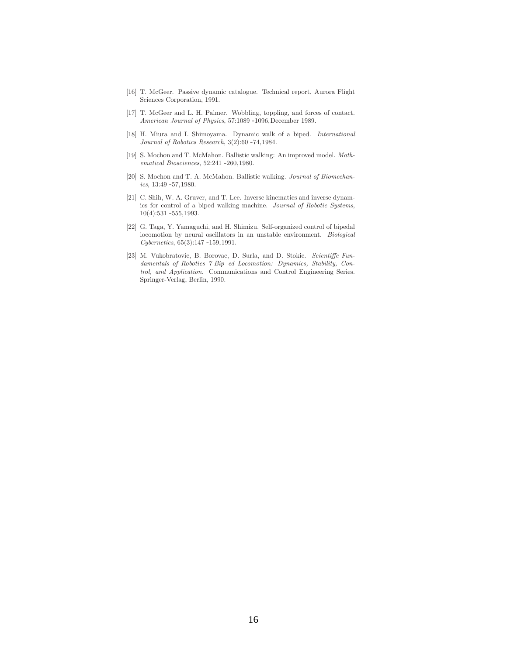- [16] T. McGeer. Passive dynamic catalogue. Technical report, Aurora Flight Sciences Corporation, 1991.
- [17] T. McGeer and L. H. Palmer. Wobbling, toppling, and forces of contact. American Journal of Physics, 57:1089 -1096,December 1989.
- [18] H. Miura and I. Shimoyama. Dynamic walk of a biped. International Journal of Robotics Research, 3(2):60 -74,1984.
- [19] S. Mochon and T. McMahon. Ballistic walking: An improved model. Mathematical Biosciences, 52:241 -260,1980.
- [20] S. Mochon and T. A. McMahon. Ballistic walking. Journal of Biomechanics, 13:49 -57,1980.
- [21] C. Shih, W. A. Gruver, and T. Lee. Inverse kinematics and inverse dynamics for control of a biped walking machine. Journal of Robotic Systems, 10(4):531 -555,1993.
- [22] G. Taga, Y. Yamaguchi, and H. Shimizu. Self-organized control of bipedal locomotion by neural oscillators in an unstable environment. Biological Cybernetics, 65(3):147 -159,1991.
- [23] M. Vukobratovic, B. Borovac, D. Surla, and D. Stokic. Scientiffc Fundamentals of Robotics 7 Bip ed Locomotion: Dynamics, Stability, Control, and Application. Communications and Control Engineering Series. Springer-Verlag, Berlin, 1990.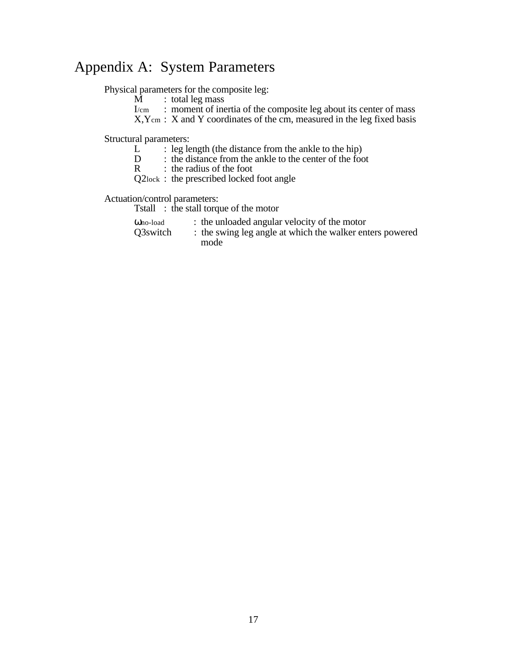## Appendix A: System Parameters

Physical parameters for the composite leg:<br> $M$  : total leg mass

- $\overline{M}$  : total leg mass<br>  $I/cm$  : moment of ine
- : moment of inertia of the composite leg about its center of mass
- $X, Y$ cm : X and Y coordinates of the cm, measured in the leg fixed basis

Structural parameters:

- $L^2$  : leg length (the distance from the ankle to the hip)<br>D : the distance from the ankle to the center of the foo
- D : the distance from the ankle to the center of the foot R : the radius of the foot
- : the radius of the foot

Q2lock : the prescribed locked foot angle

Actuation/control parameters:

Tstall : the stall torque of the motor

| Ono-load | : the unloaded angular velocity of the motor             |
|----------|----------------------------------------------------------|
| 03switch | : the swing leg angle at which the walker enters powered |
|          | mode                                                     |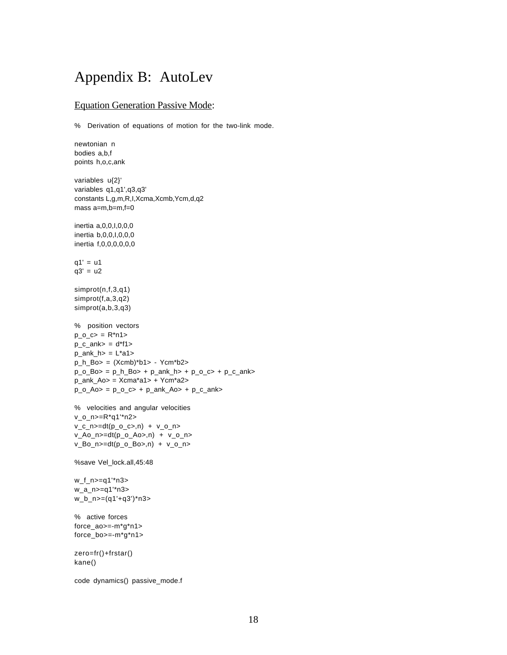### Appendix B: AutoLev

#### **Equation Generation Passive Mode:**

% Derivation of equations of motion for the two-link mode.

```
newtonian n
bodies a,b,f
points h,o,c,ank
variables u{2}'
variables q1,q1',q3,q3'
constants L,g,m,R,I,Xcma,Xcmb,Ycm,d,q2
mass a=m,b=m,f=0
inertia a,0,0,I,0,0,0
inertia b,0,0,I,0,0,0
inertia f,0,0,0,0,0,0
q1' = u1q3' = u2simprot(n,f,3,q1)
simprot(f,a,3,q2)
simprot(a,b,3,q3)
% position vectors
p_0_c = R^*n1 >
p_c_ank> = d*f1>p_ank_h = L^*a1>
p_h_B = (Xcmb)*b1 > -Ycm*b2 >p_0_Bo_Bo> = p_h_BBo> + p_0_Rank_h> + p_0_C, + p_c_Aank>
p_ank_Ao> = Xcma*a1> + Ycm*a2>
p_0_Ao = p_0_C + p_0_A + p_0_A + p_0_A% velocities and angular velocities
v_o_n>=R*q1'*n2>
v_c_n>=dt(p_0_c=,n) + v_0_nv_Ao_n>=dt(p_o_Ao>,n) + v_o_n>
v_Bo_n>=dt(p_o_Bo>,n) + v_o_n>
%save Vel_lock.all,45:48
w_f_n>=q1'*n3>
w_a_n>=q1'*n3>
w_b_n>=(q1'+q3')*n3>
% active forces
force_ao>=-m*g*n1>
force_bo>=-m*g*n1>
zero=fr()+frstar()
kane()
code dynamics() passive_mode.f
```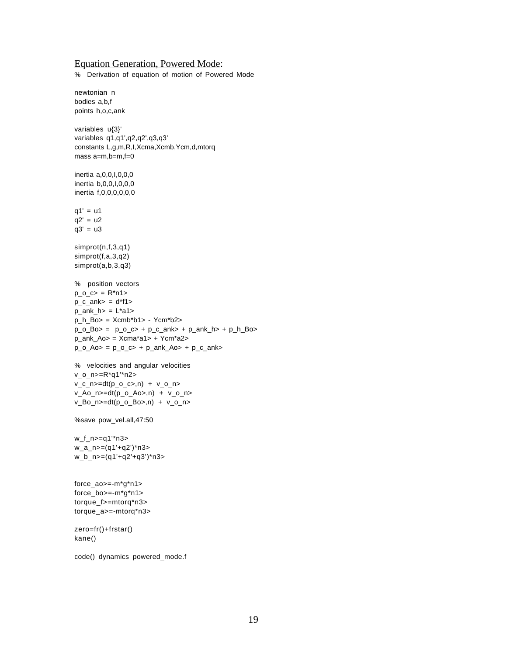#### Equation Generation, Powered Mode:

% Derivation of equation of motion of Powered Mode

```
newtonian n
bodies a,b,f
points h,o,c,ank
variables u{3}'
variables q1,q1',q2,q2',q3,q3'
constants L,g,m,R,I,Xcma,Xcmb,Ycm,d,mtorq
mass a=m,b=m,f=0
inertia a,0,0,I,0,0,0
inertia b,0,0,I,0,0,0
inertia f,0,0,0,0,0,0
q1' = u1q2' = u2q3' = u3simprot(n,f,3,q1)
simprot(f,a,3,q2)
simprot(a,b,3,q3)
% position vectors
p_0_c = R^*n1 >
p_c_ank> = d*f1>p_ank_h = L^*a1>
p_h_Bo> = Xcmb*b1> - Ycm*b2>
p_0_Bo= p_0_c> + p_c_ank> + p_0ank_h> + p_h_Bp_ank_Ao = Xcma*a1 + Ycm*a2p_0_Ao = p_0_C + p_0_A + p_0_A + p_0_A% velocities and angular velocities
v_o_n>=R*q1'*n2>
v_c_n = dt(p_0_c, n) + v_0_nv_Ao_n>=dt(p_0_Ao_1) + v_0_nv_Bo_n>=dt(p_o_Bo>,n) + v_o_n>
%save pow_vel.all,47:50
w_f_n>=q1'*n3>
w a n > = (q1'+q2')*n3>
w_b_n>=(q1'+q2'+q3')*n3>
force_ao>=-m*g*n1>
force_bo>=-m*g*n1>
torque_f>=mtorq*n3>
torque_a>=-mtorq*n3>
zero=fr()+frstar()
kane()
code() dynamics powered_mode.f
```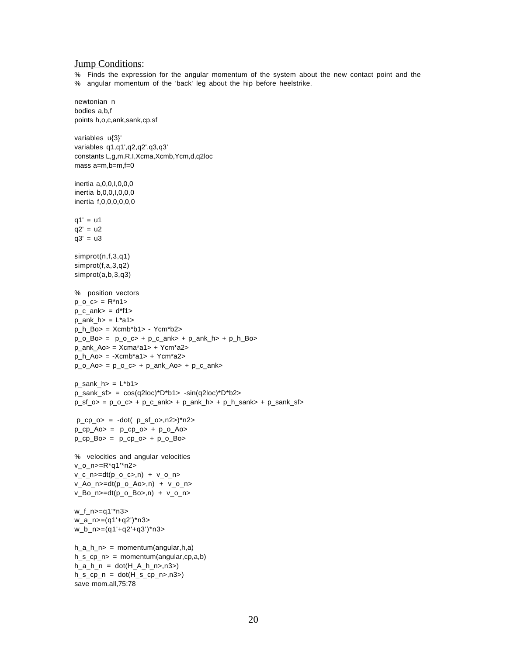#### **Jump Conditions:**

% Finds the expression for the angular momentum of the system about the new contact point and the % angular momentum of the 'back' leg about the hip before heelstrike.

```
newtonian n
bodies a,b,f
points h,o,c,ank,sank,cp,sf
variables u{3}'
variables q1,q1',q2,q2',q3,q3'
constants L,g,m,R,I,Xcma,Xcmb,Ycm,d,q2loc
mass a=m,b=m,f=0
inertia a,0,0,I,0,0,0
inertia b,0,0,I,0,0,0
inertia f,0,0,0,0,0,0
q1' = u1q2' = u2q3' = u3simprot(n,f,3,q1)
simprot(f,a,3,q2)
simprot(a,b,3,q3)
% position vectors
p_0_c>= R^*n1>p_c_ank> = d*f1>p_ank_h = L^*a1p_h_BBo> = Xcmb*b1> - Ycm*b2>p \circ Bo> = p \circ c> + p \circ ank> + p \circ ank h> + p \circ h \circ Bo>p_ank_Ao> = Xcma*a1> + Ycm*a2>
p_h_Ao> = -Xcmb*a1> + Ycm*a2>
p_0<sub>A</sub>o = p_0<sub>c</sub>\rightarrow + p_ank_Ao + p_c<sub>ank</sub>
p_sank_h> = L^*b1p sank sf= cos(q2loc)*D*b1> -sin(q2loc)*D*b2>p_s = p_0_c > + p_c_ank> + p_0ankh> + p_h_sank> + p_ssank_sf>p_c p_o > = -dot( p_s f_o > n2) * n2 >p_cpp_Ao> = p_cpp_o> + p_o_Ao>p_cpp_Bo> = p_cpp_0> + p_cpp_Bo>
% velocities and angular velocities
v_o_n>=R*q1'*n2>
v_c_n = dt(p_0_c, n) + v_0_nv_Ao_n>=dt(p_0_Ao_1) + v_0_nv_Bo_n>=dt(p_0_Bo_n) + v_0_nw_f_n>=q1'*n3>
w_a_n>=(q1'+q2')*n3>
w_b_n>=(q1'+q2'+q3')*n3>
h_a_h_p = momentum(angular,h,a)
h s cp n> = momentum(angular,cp,a,b)
h_a_h_n = dot(H_A_h_n, n3)h_s_ccp_n = dot(H_s_cp_n>,n3>)
save mom.all,75:78
```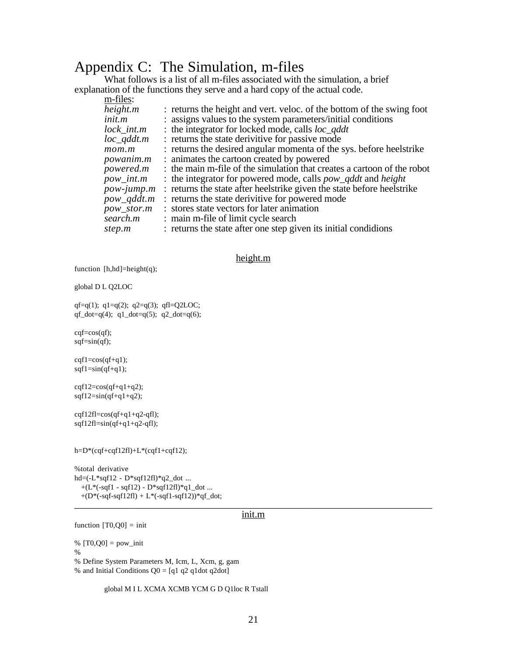### Appendix C: The Simulation, m-files

What follows is a list of all m-files associated with the simulation, a brief explanation of the functions they serve and a hard copy of the actual code.  $m_{\rm H}$ 

| m-rues:                    |                                                                            |
|----------------------------|----------------------------------------------------------------------------|
| height.m                   | : returns the height and vert. veloc. of the bottom of the swing foot      |
| init.m                     | : assigns values to the system parameters/initial conditions               |
| $lock\_int.m$              | : the integrator for locked mode, calls $loc\_qddt$                        |
| $loc\_qddt.m$              | : returns the state derivitive for passive mode                            |
| mom.m                      | : returns the desired angular momenta of the sys. before heelstrike        |
| <i>powanim.m</i>           | : animates the cartoon created by powered                                  |
| <i>powered.m</i>           | : the main m-file of the simulation that creates a cartoon of the robot    |
| $pow\_int.m$               | : the integrator for powered mode, calls <i>pow_qddt</i> and <i>height</i> |
| $pow\text{-}jump\text{.}m$ | : returns the state after heelstrike given the state before heelstrike     |
| pow_qddt.m                 | : returns the state derivitive for powered mode                            |
| pow_stor.m                 | : stores state vectors for later animation                                 |
| search.m                   | : main m-file of limit cycle search                                        |
| step.m                     | : returns the state after one step given its initial condidions            |

#### height.m

function  $[h,hd] = height(q);$ 

global D L Q2LOC

qf=q(1);  $q1=q(2)$ ;  $q2=q(3)$ ; qfl=Q2LOC; qf\_dot=q(4);  $q1$ \_dot=q(5);  $q2$ \_dot=q(6);

cqf=cos(qf); sqf=sin(qf);

 $cqf1=cos(qf+q1);$  $sqf1=sin(qf+q1);$ 

 $cqf12=cos(qf+q1+q2);$  $sqf12=sin(qf+q1+q2);$ 

 $cqf12f1=cos(qf+q1+q2-qf1);$ sqf12fl=sin(qf+q1+q2-qfl);

h=D\*(cqf+cqf12fl)+L\*(cqf1+cqf12);

%total derivative hd=(-L\*sqf12 - D\*sqf12fl)\*q2\_dot ...  $+(L*(-sqf1 - sqf12) - D*sqf12f1)*q1\_dot...$  $+(D*(-sqf-sqf12fI) + L*(-sqf1-sqf12))*qf_dot;$ \_\_\_\_\_\_\_\_\_\_\_\_\_\_\_\_\_\_\_\_\_\_\_\_\_\_\_\_\_\_\_\_\_\_\_\_\_\_\_\_\_\_\_\_\_\_\_\_\_\_\_\_\_\_\_\_\_\_\_\_\_\_\_\_\_\_\_\_\_\_\_\_ init.m

function  $[T0,Q0] = \text{init}$ 

%  $[T0, Q0] = pow\_init$ % % Define System Parameters M, Icm, L, Xcm, g, gam

% and Initial Conditions  $Q0 = [q1 q2 q1 dot q2dot]$ 

global M I L XCMA XCMB YCM G D Q1loc R Tstall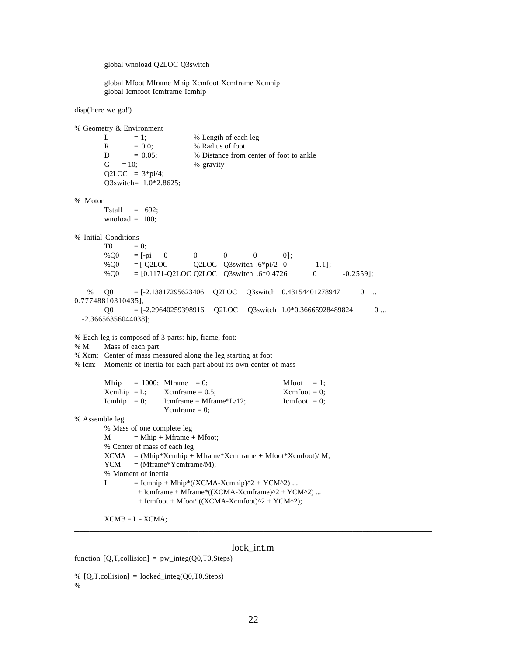global wnoload Q2LOC Q3switch

global Mfoot Mframe Mhip Xcmfoot Xcmframe Xcmhip global Icmfoot Icmframe Icmhip

disp('here we go!')

% Geometry & Environment L  $= 1$ ;  $\%$  Length of each leg  $R = 0.0;$  % Radius of foot  $D = 0.05$ ; % Distance from center of foot to ankle  $G = 10;$  % gravity  $Q2LOC = 3*pi/4;$  Q3switch= 1.0\*2.8625; % Motor Tstall  $= 692$ ; wnoload  $= 100$ : % Initial Conditions  $T0 = 0;$  $% \text{Q0}$  = [-pi 0 0 0 0 0];  $% \text{Q0}$  = [-Q2LOC Q2LOC Q3switch .6\*pi/2 0 -1.1];  $\% \text{Q0} = [0.1171 \text{-} Q2 \text{LOC Q2} \text{LOC Q3} \text{switch}.6*0.4726 \qquad 0 \qquad -0.2559];$  % Q0 = [-2.13817295623406 Q2LOC Q3switch 0.43154401278947 0 ... 0.77748810310435];  $Q0 = [-2.29640259398916 \quad Q2LOC \quad Q3s with 1.0*0.36665928489824 \quad 0 \dots$  -2.36656356044038]; % Each leg is composed of 3 parts: hip, frame, foot: % M: Mass of each part % Xcm: Center of mass measured along the leg starting at foot % Icm: Moments of inertia for each part about its own center of mass Mhip = 1000; Mframe = 0; Mfoot = 1;  $Xcmhip = L;$   $Xcmframe = 0.5;$   $Xcmfoot = 0;$ Icmhip = 0; Icmframe = Mframe\*L/12; Icmfoot = 0; Ycmframe  $= 0$ ; % Assemble leg % Mass of one complete leg  $M = Mhip + Mframe + Mfoot;$ % Center of mass of each leg  $XCMA = (Mhip*Xcmhip + Mframe*Xcmframe + Mfoot*Xcmfoot)/ M;$  $YCM = (Mframe*Ycmframe/M);$ % Moment of inertia I  $=$  Icmhip + Mhip\*((XCMA-Xcmhip)^2 + YCM^2) ...  $+$  Icmframe  $+$  Mframe\*((XCMA-Xcmframe)^2 + YCM^2) ... + Icmfoot + Mfoot\*((XCMA-Xcmfoot)^2 + YCM^2);

 $XCMB = L - XCMA;$ \_\_\_\_\_\_\_\_\_\_\_\_\_\_\_\_\_\_\_\_\_\_\_\_\_\_\_\_\_\_\_\_\_\_\_\_\_\_\_\_\_\_\_\_\_\_\_\_\_\_\_\_\_\_\_\_\_\_\_\_\_\_\_\_\_\_\_\_\_\_\_\_

#### lock\_int.m

function  $[Q, T,$ collision] = pw\_integ $(Q0, T0,$ Steps)

```
% [Q,T,collision] = locked\_integ(Q0,T0,Steps)%
```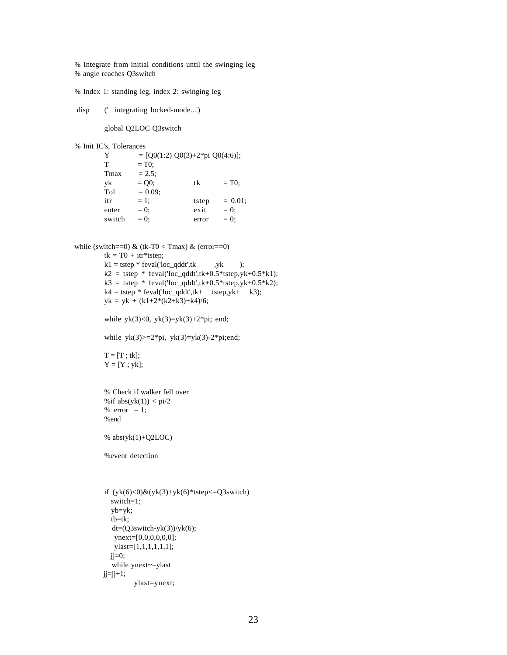% Integrate from initial conditions until the swinging leg % angle reaches Q3switch

% Index 1: standing leg, index 2: swinging leg

disp (' integrating locked-mode...')

global Q2LOC Q3switch

% Init IC's, Tolerances

| Y      | $= [Q0(1:2) Q0(3)+2*pi Q0(4:6)];$ |       |            |
|--------|-----------------------------------|-------|------------|
| т      | $= T0$ ;                          |       |            |
| Tmax   | $= 2.5$ ;                         |       |            |
| yk     | $= Q0;$                           | tk    | $= T0$ ;   |
| Tol    | $= 0.09$ ;                        |       |            |
| itr    | $= 1$ ;                           | tstep | $= 0.01$ ; |
| enter  | $= 0$ :                           | exit  | $= 0$ :    |
| switch | $= 0:$                            | error | $= 0:$     |

```
while (switch==0) \& (tk-T0 < Tmax) \& (error==0)
          tk = T0 + itr*step;k1 = tstep * feval(loc_qddt',tk ,yk ;k2 = tstep * feval('loc_qddt',tk+0.5*tstep,yk+0.5*k1);
          k3 = tstep * \text{feval}(\text{loc}_q\text{ddt}', t\text{k+0.5*tstep}, y\text{k+0.5*k2});k4 = tstep * \text{feval}(\text{loc\_qddt'},tk+ \text{tstep,yk+} k3);yk = yk + (k1+2*(k2+k3)+k4)/6;
```
while  $yk(3) < 0$ ,  $yk(3)=yk(3)+2*pi$ ; end;

while  $yk(3)=2*pi$ ,  $yk(3)=yk(3)-2*pi$ ;end;

```
T = [T; tk];Y = [Y; yk];
```
% Check if walker fell over %if  $abs(yk(1)) < pi/2$ % error  $= 1$ ; %end

```
% abs(yk(1)+Q2LOC)
```
%event detection

```
if (yk(6)<0)&(yk(3)+yk(6)*step<=Q3switch)
   switch=1;
   yb=yk;
   tb=tk;
  dt=(Q3swith-yk(3))/yk(6); ynext=[0,0,0,0,0,0];
    ylast=[1,1,1,1,1,1];
  ji=0; while ynext~=ylast
ji=ji+1;ylast=ynext;
```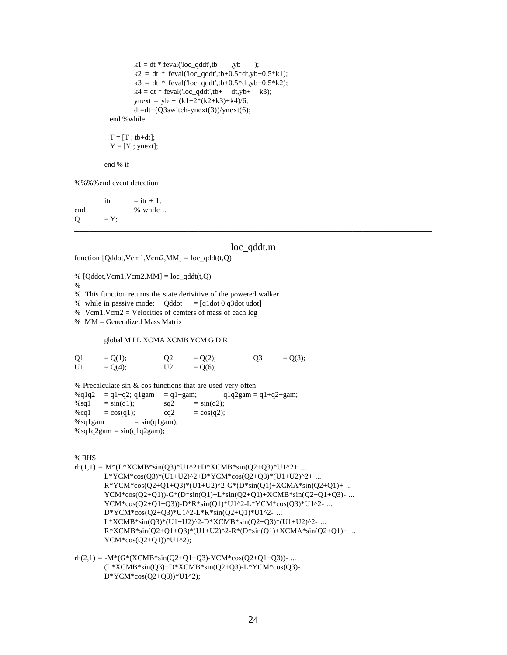```
k1 = dt * \text{feval}(\text{loc\_qddt}', tb \quad ,yb \quad );k2 = dt * \text{feval}(\text{loc}_\text{q}ddt', tb+0.5 * dt, yb+0.5 * k1);k3 = dt * \text{feval}(\text{loc}_\text{q}ddt', tb+0.5 * dt, yb+0.5 * k2);k4 = dt * \text{feval}(\text{loc}_\text{q} \text{d} dt', t\text{b}+ dt, y\text{b}+ k3);ynext = yb + (k1+2*(k2+k3)+k4)/6;
          dt=dt+(Q3swith-ynext(3))/ynext(6); end %while
```
 $T = [T : tb+dt]$ ;  $Y = [Y; ynext];$ 

end % if

%%%%end event detection

 $\text{itr}$  =  $\text{itr} + 1$ ; end % while ...  $Q = Y;$ \_\_\_\_\_\_\_\_\_\_\_\_\_\_\_\_\_\_\_\_\_\_\_\_\_\_\_\_\_\_\_\_\_\_\_\_\_\_\_\_\_\_\_\_\_\_\_\_\_\_\_\_\_\_\_\_\_\_\_\_\_\_\_\_\_\_\_\_\_\_\_\_

#### loc\_qddt.m

function  $[Qddot, Vcm1, Vcm2, MM] = loc_q ddt(t, Q)$ 

%  $[Qddot, Vcm1, Vcm2, MM] = loc_qddt(t, Q)$ 

%

% This function returns the state derivitive of the powered walker

% while in passive mode: Qddot = [q1dot 0 q3dot udot]

% Vcm1, Vcm2 = Velocities of cemters of mass of each leg

 $%$  MM = Generalized Mass Matrix

#### global M I L XCMA XCMB YCM G D R

| Q <sub>1</sub> | $= Q(1);$ | O <sub>2</sub> | $= Q(2);$ | 03 | $= Q(3);$ |
|----------------|-----------|----------------|-----------|----|-----------|
| U1             | $= Q(4);$ | U <sub>2</sub> | $= Q(6);$ |    |           |

 $%$  Precalculate sin  $&$  cos functions that are used very often %q1q2 = q1+q2; q1gam = q1+gam;  $q1q2gam = q1+q2+gam$ ;  $% \text{sq1} = \sin(\text{q1});$   $\text{sq2} = \sin(\text{q2});$  $%cq1 = cos(q1);$   $cq2 = cos(q2);$  $%$ sq1gam = sin(q1gam);  $%$ sq1q2gam = sin(q1q2gam);

% RHS

 $rh(1,1) = M*(L*XCMB*sin(03)*U1^{2}+D*XCMB*sin(02+03)*U1^{2}+ ...$ L\*YCM\*cos(Q3)\*(U1+U2)^2+D\*YCM\*cos(Q2+Q3)\*(U1+U2)^2+ ... R\*YCM\*cos(Q2+Q1+Q3)\*(U1+U2)^2-G\*(D\*sin(Q1)+XCMA\*sin(Q2+Q1)+ ...  $YCM*cos(Q2+Q1)) - G*(D*sin(Q1) + L*sin(Q2+Q1) + XCMB*sin(Q2+Q1+Q3) - ...$ YCM\*cos(Q2+Q1+Q3))-D\*R\*sin(Q1)\*U1^2-L\*YCM\*cos(Q3)\*U1^2- ... D\*YCM\*cos(Q2+Q3)\*U1^2-L\*R\*sin(Q2+Q1)\*U1^2- ... L\*XCMB\*sin(Q3)\*(U1+U2)^2-D\*XCMB\*sin(Q2+Q3)\*(U1+U2)^2- ...  $R*XCMB*sin(Q2+Q1+Q3)*(U1+U2)^2-R*(D*sin(Q1)+XCMA*sin(Q2+Q1)+...$ YCM\*cos(Q2+Q1))\*U1^2);

```
rh(2,1) = -M*(G*(XCMB*sin(Q2+Q1+Q3)-YCM*cos(Q2+Q1+Q3)) - ...(L*XCMB*sin(Q3)+D*XCMB*sin(Q2+Q3)-L*YCM*cos(Q3)- ...
       D*YCM*cos(Q2+Q3))*U1^2);
```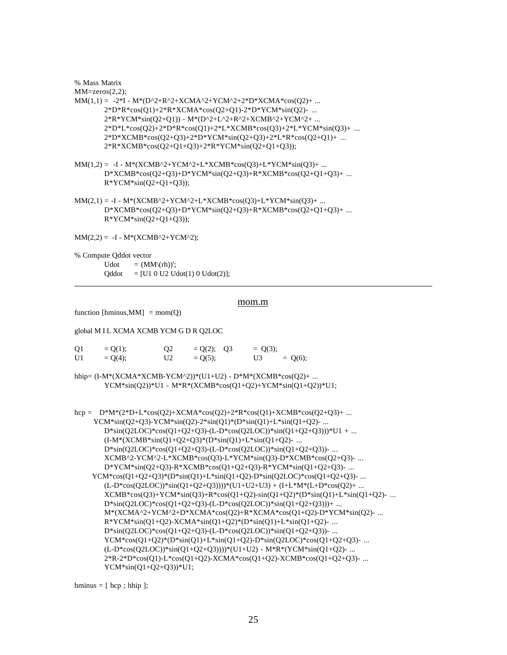% Mass Matrix

 $MM = zeros(2,2);$ 

- $MM(1,1) = -2*I M*(D^2+R^2+XCMA^2+YCM^2+2*D*XCMA*cos(Q2)+ ...$ 2\*D\*R\*cos(Q1)+2\*R\*XCMA\*cos(Q2+Q1)-2\*D\*YCM\*sin(Q2)- ... 2\*R\*YCM\*sin(Q2+Q1)) - M\*(D^2+L^2+R^2+XCMB^2+YCM^2+ ...  $2*D*L*cos(Q2)+2*D*R*cos(Q1)+2*L*XCMB*cos(Q3)+2*L*YCM*sin(Q3)+...$ 2\*D\*XCMB\*cos(Q2+Q3)+2\*D\*YCM\*sin(Q2+Q3)+2\*L\*R\*cos(Q2+Q1)+ ... 2\*R\*XCMB\*cos(Q2+Q1+Q3)+2\*R\*YCM\*sin(Q2+Q1+Q3));
- $MM(1,2) = -I M*(XCMB^2+YCM^2+L^*XCMB*cos(Q3)+L^*YCM*sin(Q3)+...$ D\*XCMB\*cos(Q2+Q3)+D\*YCM\*sin(Q2+Q3)+R\*XCMB\*cos(Q2+Q1+Q3)+ ...  $R*YCM*sin(Q2+Q1+Q3);$
- $MM(2,1) = -I M*(XCMB^2+YCM^2+L*XCMB*cos(Q3)+L*YCM*sin(Q3)+...$ D\*XCMB\*cos(Q2+Q3)+D\*YCM\*sin(Q2+Q3)+R\*XCMB\*cos(Q2+Q1+Q3)+ ...  $R*YCM*sin(Q2+Q1+Q3);$

 $MM(2,2) = -I - M*(XCMB^2+YCM^2);$ 

% Compute Qddot vector

Udot  $= (MM\setminus(rh))$ ;  $Qddot = [U1 0 U2 Udot(1) 0 Udot(2)];$ \_\_\_\_\_\_\_\_\_\_\_\_\_\_\_\_\_\_\_\_\_\_\_\_\_\_\_\_\_\_\_\_\_\_\_\_\_\_\_\_\_\_\_\_\_\_\_\_\_\_\_\_\_\_\_\_\_\_\_\_\_\_\_\_\_\_\_\_\_\_\_\_

#### mom.m

function [hminus, MM] = mom( $Q$ )

global M I L XCMA XCMB YCM G D R Q2LOC

| Q <sub>1</sub> | $= Q(1);$ | Q <sub>2</sub> | $= Q(2); Q3$ | $= Q(3);$ |           |
|----------------|-----------|----------------|--------------|-----------|-----------|
| U1             | $= Q(4);$ | U <sub>2</sub> | $= O(5)$ ;   | U3        | $= Q(6);$ |

hhip= (I-M\*(XCMA\*XCMB-YCM^2))\*(U1+U2) - D\*M\*(XCMB\*cos(Q2)+ ... YCM\*sin(Q2))\*U1 - M\*R\*(XCMB\*cos(Q1+Q2)+YCM\*sin(Q1+Q2))\*U1;

```
hcp = D^*M^*(2^*D+L^*cos(O2)+XCMA^*cos(O2)+2^*R^*cos(O1)+XCMB^*cos(O2+O3)+... YCM*sin(Q2+Q3)-YCM*sin(Q2)-2*sin(Q1)*(D*sin(Q1)+L*sin(Q1+Q2)- ...
       D*sin(Q2LOC)*cos(Q1+Q2+Q3)-(L-D*cos(Q2LOC))*sin(Q1+Q2+Q3)))*U1 + ...
       (I-M*(XCMB*sin(Q1+Q2+Q3)*(D*sin(Q1)+L*sin(Q1+Q2)-...D*sin(Q2LOC)*cos(Q1+Q2+Q3)-(L-D*cos(Q2LOC))*sin(Q1+Q2+Q3))- ...
       XCMB^2-YCM^2-L*XCMB*cos(Q3)-L*YCM*sin(Q3)-D*XCMB*cos(Q2+Q3)- ...
       D*YCM*sin(Q2+Q3)-R*XCMB*cos(Q1+Q2+Q3)-R*YCM*sin(Q1+Q2+Q3)- ...
     YCM*cos(Q1+Q2+Q3)*(D*sin(Q1)+L*sin(Q1+Q2)-D*sin(Q2LOC)*cos(Q1+Q2+Q3)- ...
       (L-D*cos(Q2LOC))*sin(Q1+Q2+Q3))))*(U1+U2+U3) + (I+L*M*(L+D*cos(Q2)+...XCMB*cos(Q3)+YCM*sin(Q3)+R*cos(Q1+Q2)-sin(Q1+Q2)*D*sin(Q1)+L*sin(Q1+Q2)-...D*sin(Q2LOC)*cos(Q1+Q2+Q3)-(L-D*cos(Q2LOC))*sin(Q1+Q2+Q3)))+ ...
       M*(XCMA^2+YCM^2+D*XCMA*cos(Q2)+R*XCMA*cos(Q1+Q2)-D*YCM*sin(Q2)- ...
       R*YCM*sin(01+02)-XCMA*sin(01+02)*(D*sin(01)+L*sin(01+02)- ...
       D^*sin(Q2LOC)^*cos(Q1+Q2+Q3)-(L-D^*cos(Q2LOC))^*sin(Q1+Q2+Q3))- ...
       YCM*cos(Q1+Q2)*(D*sin(Q1)+L*sin(Q1+Q2)-D*sin(Q2LOC)*cos(Q1+Q2+Q3)- ...
       (L-D*cos(Q2LOC))*sin(Q1+Q2+Q3))))*(U1+U2) - M*R*(YCM*sin(Q1+Q2) - ...2*R-2*D*cos(Q1)-L*cos(Q1+Q2)-XCMA*cos(Q1+Q2)-XCMB*cos(Q1+Q2+Q3)- ...
       YCM*sin(Q1+Q2+Q3))*U1;
```
hminus  $=$  [ hcp ; hhip ];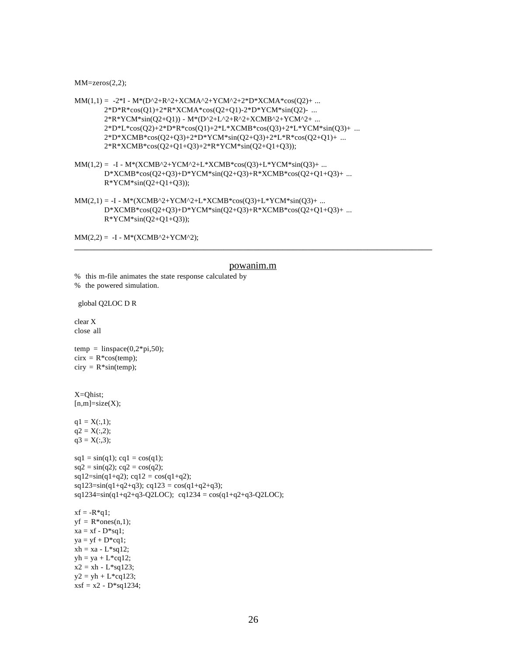$MM = zeros(2,2);$ 

- $MM(1,1) = -2*I M*(D^2+R^2+XCMA^2+YCM^2+2*D*XCMA*cos(Q2)+ ...$ 2\*D\*R\*cos(Q1)+2\*R\*XCMA\*cos(Q2+Q1)-2\*D\*YCM\*sin(Q2)- ... 2\*R\*YCM\*sin(Q2+Q1)) - M\*(D^2+L^2+R^2+XCMB^2+YCM^2+ ...  $2^*D^*L^*cos(Q2)+2^*D^*R^*cos(Q1)+2^*L^*XCMB^*cos(Q3)+2^*L^*YCM^*sin(Q3)+...$ 2\*D\*XCMB\*cos(Q2+Q3)+2\*D\*YCM\*sin(Q2+Q3)+2\*L\*R\*cos(Q2+Q1)+ ... 2\*R\*XCMB\*cos(Q2+Q1+Q3)+2\*R\*YCM\*sin(Q2+Q1+Q3));
- $MM(1,2) = -I M*(XCMB^2+YCM^2+L^*XCMB*cos(Q3)+L^*YCM*sin(Q3)+...$ D\*XCMB\*cos(Q2+Q3)+D\*YCM\*sin(Q2+Q3)+R\*XCMB\*cos(Q2+Q1+Q3)+ ...  $R*YCM*sin(Q2+Q1+Q3));$
- $MM(2,1) = -I M*(XCMB^2+YCM^2+L*XCMB*cos(Q3)+L*YCM*sin(Q3)+...$ D\*XCMB\*cos(Q2+Q3)+D\*YCM\*sin(Q2+Q3)+R\*XCMB\*cos(Q2+Q1+Q3)+ ...  $R*YCM*sin(Q2+Q1+Q3);$

 $MM(2,2) = -I - M*(XCMB^2+YCM^2);$ \_\_\_\_\_\_\_\_\_\_\_\_\_\_\_\_\_\_\_\_\_\_\_\_\_\_\_\_\_\_\_\_\_\_\_\_\_\_\_\_\_\_\_\_\_\_\_\_\_\_\_\_\_\_\_\_\_\_\_\_\_\_\_\_\_\_\_\_\_\_\_\_

#### powanim.m

```
% this m-file animates the state response calculated by
% the powered simulation.
```
global Q2LOC D R

clear X close all

 $temp = linspace(0,2*pi,50);$  $cirx = R^*cos(temp)$ ;  $\text{ciry} = \text{R}^* \text{sin}(\text{temp});$ 

X=Qhist;  $[n,m]=size(X);$ 

 $q1 = X(:,1);$  $q2 = X(:,2);$  $q3 = X(:,3);$ 

```
sq1 = \sin(q1); cq1 = \cos(q1);
sq2 = \sin(q2); cq2 = \cos(q2);
sq12=sin(q1+q2); cq12 = cos(q1+q2);sq123=sin(q1+q2+q3); cq123 = cos(q1+q2+q3);sq1234 = \sin(q1+q2+q3-Q2LOC); cq1234 = cos(q1+q2+q3-Q2LOC);
xf = -R*q1;yf = R^*ones(n,1);xa = xf - D*sq1;ya = yf + D*cq1;xh = xa - L*sq12;yh = ya + L*cq12;x2 = xh - L*sq123;y2 = yh + L * cq123;
```

```
xsf = x2 - D*sq1234;
```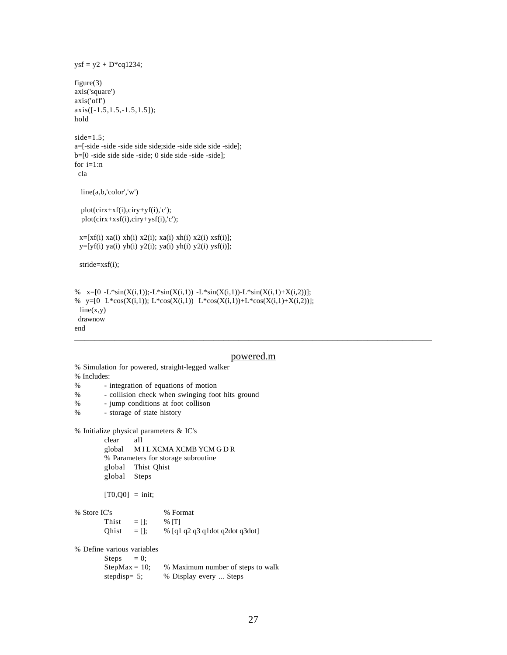```
ysf = y2 + D*cq1234;figure(3)
axis('square')
axis('off')
axis([-1.5,1.5,-1.5,1.5]);
hold
side=1.5;
a=[-side -side -side side side;side -side side side -side];
b=[0 -side side side -side; 0 side side -side -side];
for i=1:n cla
   line(a,b,'color','w')
   plot(cirx+xf(i),ciry+yf(i),'c');
  plot(cirx+xsf(i),ciry+ysf(i),c');x=[xf(i)xa(i) xh(i) x2(i); xa(i) xh(i) x2(i) xsf(i)];y=[yf(i) ya(i) yh(i) y2(i); ya(i) yh(i) y2(i) ysf(i)]; stride=xsf(i);
% x=[0 -L*sin(X(i,1));-L*sin(X(i,1)) -L*sin(X(i,1)) -L*sin(X(i,1)) +X(i,2))];% y=[0 L*cos(X(i,1)); L*cos(X(i,1)) L*cos(X(i,1))+L*cos(X(i,1)+X(i,2))];
 line(x,y) drawnow
```
end

### \_\_\_\_\_\_\_\_\_\_\_\_\_\_\_\_\_\_\_\_\_\_\_\_\_\_\_\_\_\_\_\_\_\_\_\_\_\_\_\_\_\_\_\_\_\_\_\_\_\_\_\_\_\_\_\_\_\_\_\_\_\_\_\_\_\_\_\_\_\_\_\_

#### powered.m

```
% Includes:
% - integration of equations of motion<br>% - collision check when swinging foo
         - collision check when swinging foot hits ground
% - jump conditions at foot collison
% - storage of state history
% Initialize physical parameters & IC's
         clear all
         global M I L XCMA XCMB YCM G D R
         % Parameters for storage subroutine
         global Thist Qhist
         global Steps
         [T0,Q0] = \text{init};% Store IC's % Format
         Thist = \lceil : % \lceil \lceilQhist = []; % [q1 q2 q3 q1d0t q2d0t q3d0t]% Define various variables
         Steps = 0;StepMax = 10; % Maximum number of steps to walk
         stepdisp= 5; % Display every ... Steps
```
% Simulation for powered, straight-legged walker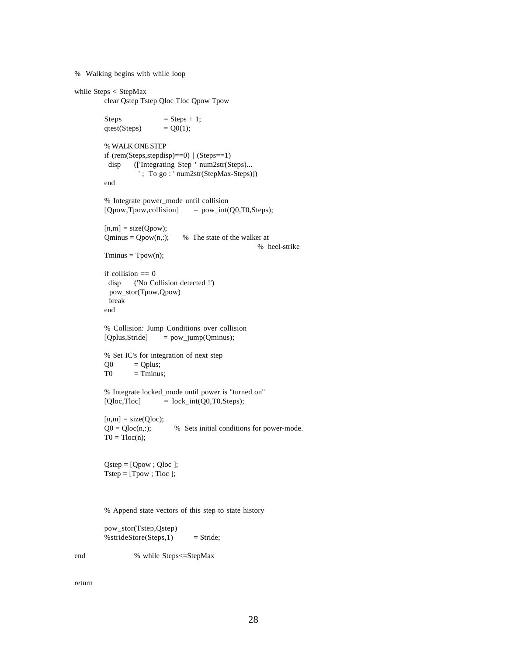% Walking begins with while loop

```
while Steps < StepMax
        clear Qstep Tstep Qloc Tloc Qpow Tpow
        Steps = Steps + 1;
        qtest(Steps) = Q0(1);% WALK ONE STEP
        if (rem(Steps,stepdisp)==0) | (Steps==1)
          disp (['Integrating Step ' num2str(Steps)...
                   ' ; To go : ' num2str(StepMax-Steps)])
        end
        % Integrate power_mode until collision
        [Qpow, Tpow, collision] = pow\_int(Q0, T0, Steps);[n,m] = size(Qpow);Qminus = Qpow(n,:); % The state of the walker at
                                                       % heel-strike
        T<sub>minus</sub> = T<sub>pow</sub>(n);if collision == 0 disp ('No Collision detected !')
          pow_stor(Tpow,Qpow)
          break
        end
        % Collision: Jump Conditions over collision
        [Qplus,Stride] = pow_jump(Qminus);
        % Set IC's for integration of next step
        Q0 = Qplus;
        T0 = Tminus;% Integrate locked_mode until power is "turned on"
        [Qloc,Tloc] = lock\_int(Q0,T0,Steps);[n,m] = size(Qloc);Q0 = Qloc(n,:); % Sets initial conditions for power-mode.
        T0 = Tloc(n);Qstep = [Qpow ; Qloc ];
        Tstep = [Tpow; Tloc];% Append state vectors of this step to state history
        pow_stor(Tstep,Qstep)
        \%strideStore(Steps,1) = Stride;
```
end % while Steps<=StepMax

return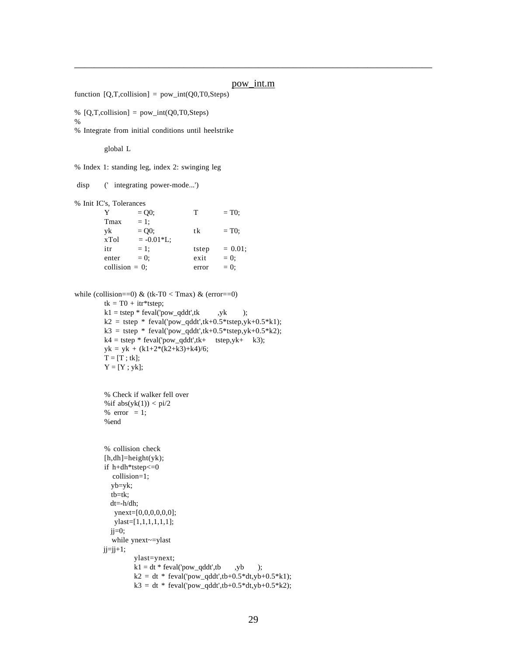#### pow\_int.m

\_\_\_\_\_\_\_\_\_\_\_\_\_\_\_\_\_\_\_\_\_\_\_\_\_\_\_\_\_\_\_\_\_\_\_\_\_\_\_\_\_\_\_\_\_\_\_\_\_\_\_\_\_\_\_\_\_\_\_\_\_\_\_\_\_\_\_\_\_\_\_\_

```
function [Q,T,collision] = pow(int(Q0,T0,Steps)% [Q,T,collision] = pow-int(Q0,T0,Steps)%
% Integrate from initial conditions until heelstrike
        global L
% Index 1: standing leg, index 2: swinging leg
 disp (' integrating power-mode...')
% Init IC's, Tolerances
        Y = Q0; T = T0;
        Tmax = 1;
        yk = Q0; tk = T0;xTol = -0.01 * L;itr = 1; tstep = 0.01;
        enter = 0; exit = 0;
        collision = 0; error = 0;
while (collision==0) & (tk-T0 < Tmax) & (error==0)
        tk = T0 + itr*tstep;
        k1 = tstep * feval('pow_qddt',tk ,yk);k2 = tstep * fewal('pow_qddt',tk+0.5*tstep,yk+0.5*k1);k3 = tstep * feval('pow_qddt',tk+0.5*tstep,yk+0.5*k2);
        k4 = tstep * \text{few}(power - qddt', tk + tstep,yk + k3);yk = yk + (k1+2*(k2+k3)+k4)/6;T = [T ; tk];Y = [Y; yk];% Check if walker fell over
        %if abs(yk(1)) < pi/2% error = 1;
        %end
        % collision check
        [h,dh] = height(yk);if h+dh*tstep<=0
           collision=1;
           yb=yk;
           tb=tk;
           dt=-h/dh;
           ynext=[0,0,0,0,0,0];
            ylast=[1,1,1,1,1,1];
          jj=0; while ynext~=ylast
        jj=jj+1;ylast=ynext;
                 k1 = dt * \text{feval}('pow\_qddt', tb ,yb ;k2 = dt * \text{few}(1 \text{pow}_q ddt', tb+0.5 * dt, yb+0.5 * k1);k3 = dt * \text{feval}('pow\_qddt', tb+0.5 * dt, yb+0.5 * k2);
```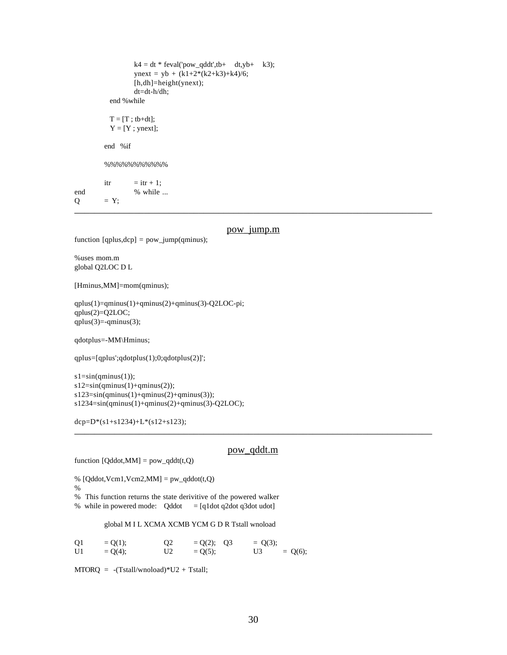```
k4 = dt * \text{few}\frac{q}{dt}; tb + dt, yb + k3;
               ynext = yb + (k1+2*(k2+k3)+k4)/6;
               [h,dh]=height(ynext);
               dt=dt-h/dh;
          end %while
         T = [T; tb+dt];Y = [Y; ynext];end %if
       %%%%%%%%%%%
       \text{itr} = \text{itr} + 1;
end % while ...
Q = Y;________________________________________________________________________
```

```
pow_jump.m<br>function [qplus,dcp] = pow_jump(qminus);
```
%uses mom.m global Q2LOC D L

[Hminus,MM]=mom(qminus);

qplus(1)=qminus(1)+qminus(2)+qminus(3)-Q2LOC-pi; qplus(2)=Q2LOC;  $qplus(3)=-qminus(3);$ 

qdotplus=-MM\Hminus;

qplus=[qplus';qdotplus(1);0;qdotplus(2)]';

 $s1 = sin(qminus(1));$ 

s12=sin(qminus(1)+qminus(2)); s123=sin(qminus(1)+qminus(2)+qminus(3));

s1234=sin(qminus(1)+qminus(2)+qminus(3)-Q2LOC);

dcp=D\*(s1+s1234)+L\*(s12+s123);

#### pow\_qddt.m

\_\_\_\_\_\_\_\_\_\_\_\_\_\_\_\_\_\_\_\_\_\_\_\_\_\_\_\_\_\_\_\_\_\_\_\_\_\_\_\_\_\_\_\_\_\_\_\_\_\_\_\_\_\_\_\_\_\_\_\_\_\_\_\_\_\_\_\_\_\_\_\_

```
function [Qddot, MM] = pow_qddt(t, Q)
```

```
% [Qddot, Vcm1, Vcm2, MM] = pw_qddot(t, Q)
```
%

% This function returns the state derivitive of the powered walker

% while in powered mode:  $Qddot = [q1dot q2dot q3dot u$ 

global M I L XCMA XCMB YCM G D R Tstall wnoload

| Q <sub>1</sub> | $= Q(1);$ | O <sub>2</sub> | $= Q(2); Q3$ | $= Q(3);$ |           |
|----------------|-----------|----------------|--------------|-----------|-----------|
| U <sub>1</sub> | $= Q(4);$ | U2             | $= Q(5);$    | U3        | $= Q(6);$ |

 $MTORQ = -(Tstall/wnoload)*U2 + Tstall;$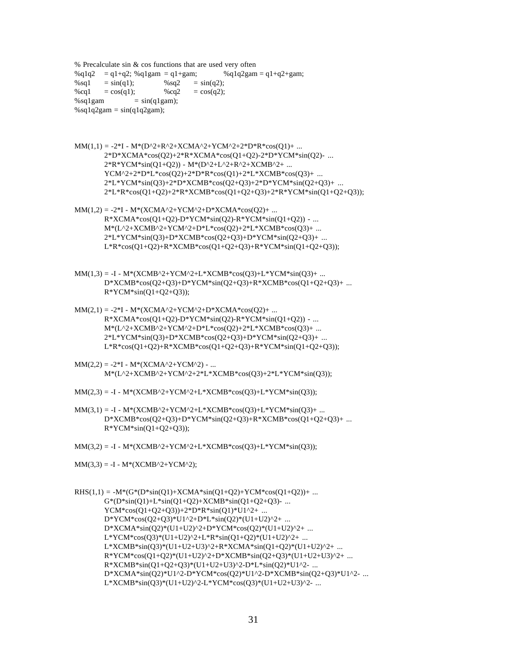% Precalculate sin & cos functions that are used very often  $\%q1q2 = q1+q2$ ;  $\%q1gam = q1+gam$ ;  $\%q1q2gam = q1+q2+gam$ ;  $%sq1 = sin(q1);$  %sq2 =  $sin(q2);$  $%cq1 = cos(q1);$  %cq2 = cos(q2);  $%$ sq1gam = sin(q1gam);  $%$ sq1q2gam = sin(q1q2gam);

- $MM(1,1) = -2*I M*(D^2+R^2+XCMA^2+YCM^2+2*D*R*cos(Q1)+ ...$ 2\*D\*XCMA\*cos(Q2)+2\*R\*XCMA\*cos(Q1+Q2)-2\*D\*YCM\*sin(Q2)- ...  $2^*R^*YCM^*sin(Q1+Q2)) - M^*(D^2+L^2+R^2+XCMB^2+ ...$ YCM^2+2\*D\*L\*cos(Q2)+2\*D\*R\*cos(Q1)+2\*L\*XCMB\*cos(Q3)+ ... 2\*L\*YCM\*sin(Q3)+2\*D\*XCMB\*cos(Q2+Q3)+2\*D\*YCM\*sin(Q2+Q3)+ ... 2\*L\*R\*cos(Q1+Q2)+2\*R\*XCMB\*cos(Q1+Q2+Q3)+2\*R\*YCM\*sin(Q1+Q2+Q3));
- $MM(1,2) = -2*I M*(XCMA^2+YCM^2+D*XCMA*cos(Q2)+ ...$  $R*XCMA*cos(Q1+Q2)-D*YCM*sin(Q2)-R*YCM*sin(Q1+Q2))$  - ... M\*(L^2+XCMB^2+YCM^2+D\*L\*cos(Q2)+2\*L\*XCMB\*cos(Q3)+ ... 2\*L\*YCM\*sin(Q3)+D\*XCMB\*cos(Q2+Q3)+D\*YCM\*sin(Q2+Q3)+ ... L\*R\*cos(Q1+Q2)+R\*XCMB\*cos(Q1+Q2+Q3)+R\*YCM\*sin(Q1+Q2+Q3));
- $MM(1,3) = -I M*(XCMB^2+YCM^2+L*XCMB*cos(Q3)+L*YCM*sin(Q3)+...$ D\*XCMB\*cos(Q2+Q3)+D\*YCM\*sin(Q2+Q3)+R\*XCMB\*cos(Q1+Q2+Q3)+ ...  $R*YCM*sin(Q1+Q2+Q3);$
- $MM(2,1) = -2*I M*(XCMA^2+YCM^2+D*XCMA*cos(Q2)+ ...$  $R*XCMA*cos(Q1+Q2)-D*YCM*sin(Q2)-R*YCM*sin(Q1+Q2))$  - ...  $M*(L^2+XCMB^2+YCM^2+D*L*cos(Q2)+2*L*XCMB*cos(Q3)+...$ 2\*L\*YCM\*sin(Q3)+D\*XCMB\*cos(Q2+Q3)+D\*YCM\*sin(Q2+Q3)+ ... L\*R\*cos(Q1+Q2)+R\*XCMB\*cos(Q1+Q2+Q3)+R\*YCM\*sin(Q1+Q2+Q3));
- $MM(2,2) = -2*I M*(XCMA^2+YCM^2) ...$ M\*(L^2+XCMB^2+YCM^2+2\*L\*XCMB\*cos(Q3)+2\*L\*YCM\*sin(Q3));
- $MM(2,3) = -I M*(XCMB^2+YCM^2+L*XCMB*cos(Q3)+L*YCM*sin(Q3));$
- $MM(3,1) = -I M*(XCMB^2+YCM^2+L*XCMB*cos(Q3)+L*YCM*sin(Q3)+...$ D\*XCMB\*cos(Q2+Q3)+D\*YCM\*sin(Q2+Q3)+R\*XCMB\*cos(Q1+Q2+Q3)+ ...  $R*YCM*sin(Q1+Q2+Q3)$ ;
- $MM(3,2) = -I M*(XCMB^2+YCM^2+L*XCMB*cos(Q3)+L*YCM*sin(Q3));$
- $MM(3,3) = -I M*(XCMB^2+YCM^2);$

 $RHS(1,1) = -M*(G*(D*sin(Q1)+XCMA*sin(Q1+Q2)+YCM*cos(Q1+Q2))+...$  $G^*(D^*sin(Q1)+L^*sin(Q1+Q2)+XCMB^*sin(Q1+Q2+Q3)$ -...  $YCM*cos(Q1+Q2+Q3)) + 2*D*R*sin(Q1)*U1^2+ ...$ D\*YCM\*cos(Q2+Q3)\*U1^2+D\*L\*sin(Q2)\*(U1+U2)^2+ ... D\*XCMA\*sin(Q2)\*(U1+U2)^2+D\*YCM\*cos(Q2)\*(U1+U2)^2+ ...  $L*YCM*cos(Q3)*(U1+U2)^2+L*R*sin(Q1+Q2)*(U1+U2)^2+...$ L\*XCMB\*sin(Q3)\*(U1+U2+U3)^2+R\*XCMA\*sin(Q1+Q2)\*(U1+U2)^2+ ...  $R*YCM*cos(Q1+Q2)*(U1+U2)^2+D*XCMB*sin(Q2+Q3)*(U1+U2+U3)^2+...$  $R*XCMB*sin(Q1+Q2+Q3)*(U1+U2+U3)^2-D*L*sin(Q2)*U1^2- ...$ D\*XCMA\*sin(Q2)\*U1^2-D\*YCM\*cos(Q2)\*U1^2-D\*XCMB\*sin(Q2+Q3)\*U1^2- ...  $L*XCMB*sin(Q3)*(U1+U2)^2-L*YCM*cos(Q3)*(U1+U2+U3)^2-...$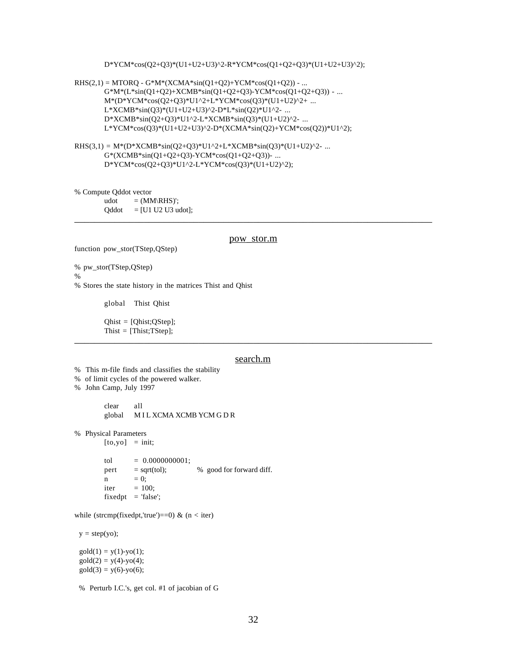#### D\*YCM\*cos(Q2+Q3)\*(U1+U2+U3)^2-R\*YCM\*cos(Q1+Q2+Q3)\*(U1+U2+U3)^2);

- $RHS(2,1) = MTORQ G*M*(XCMA*sin(Q1+Q2)+YCM*cos(Q1+Q2)) ...$ G\*M\*(L\*sin(Q1+Q2)+XCMB\*sin(Q1+Q2+Q3)-YCM\*cos(Q1+Q2+Q3)) - ... M\*(D\*YCM\*cos(Q2+Q3)\*U1^2+L\*YCM\*cos(Q3)\*(U1+U2)^2+ ...  $L*XCMB*sin(Q3)*(U1+U2+U3)^2-D*L*sin(Q2)*U1^2- ...$ D\*XCMB\*sin(Q2+Q3)\*U1^2-L\*XCMB\*sin(Q3)\*(U1+U2)^2- ... L\*YCM\*cos(Q3)\*(U1+U2+U3)^2-D\*(XCMA\*sin(Q2)+YCM\*cos(Q2))\*U1^2);
- RHS(3,1) =  $M*(D*XCMB*sin(Q2+Q3)*U1^2+L*XCMB*sin(Q3)*(U1+U2)^2-...$ G\*(XCMB\*sin(Q1+Q2+Q3)-YCM\*cos(Q1+Q2+Q3))- ... D\*YCM\*cos(Q2+Q3)\*U1^2-L\*YCM\*cos(Q3)\*(U1+U2)^2);

% Compute Qddot vector

udot  $=$   $(MM\backslash RHS)'$ ;  $Qddot = [U1 U2 U3 udot];$ \_\_\_\_\_\_\_\_\_\_\_\_\_\_\_\_\_\_\_\_\_\_\_\_\_\_\_\_\_\_\_\_\_\_\_\_\_\_\_\_\_\_\_\_\_\_\_\_\_\_\_\_\_\_\_\_\_\_\_\_\_\_\_\_\_\_\_\_\_\_\_\_

#### pow\_stor.m

function pow stor(TStep,OStep)

% pw\_stor(TStep,QStep)

 $\%$ 

% Stores the state history in the matrices Thist and Qhist

global Thist Qhist

Qhist = [Qhist;QStep]; Thist = [Thist;TStep]; \_\_\_\_\_\_\_\_\_\_\_\_\_\_\_\_\_\_\_\_\_\_\_\_\_\_\_\_\_\_\_\_\_\_\_\_\_\_\_\_\_\_\_\_\_\_\_\_\_\_\_\_\_\_\_\_\_\_\_\_\_\_\_\_\_\_\_\_\_\_\_\_

#### search.m

% This m-file finds and classifies the stability

- % of limit cycles of the powered walker.
- % John Camp, July 1997

clear all global M I L XCMA XCMB YCM G D R

% Physical Parameters

 $[to,yo] = init;$ 

tol  $= 0.0000000001;$ pert  $=$  sqrt(tol);  $\%$  good for forward diff.  $n = 0;$ iter  $= 100$ ;  $fixedpt = 'false';$ 

while (strcmp(fixedpt,'true')==0) & ( $n <$ iter)

 $y = step(yo);$ 

 $gold(1) = y(1)-yo(1);$  $\text{gold}(2) = y(4) - y_0(4);$  $gold(3) = y(6)-yo(6);$ 

% Perturb I.C.'s, get col. #1 of jacobian of G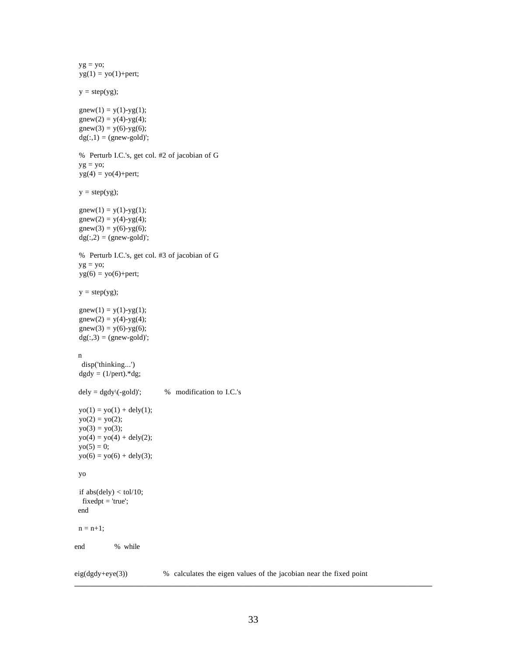```
yg = yo;yg(1) = yo(1) + pert;y = step(yg);gnew(1) = y(1)-yg(1);gnew(2) = y(4)-yg(4);gnew(3) = y(6)-yg(6);
 dg(:,1) = (gnew-gold)'; % Perturb I.C.'s, get col. #2 of jacobian of G
yg = yo;yg(4) = yo(4) + pert;y = step(yg);gnew(1) = y(1)-yg(1);gnew(2) = y(4)-yg(4);
 gnew(3) = y(6)-yg(6);
 dg(.2) = (gnew-gold);
  % Perturb I.C.'s, get col. #3 of jacobian of G
 yg = yo;yg(6) = yo(6) + pert;y = step(yg);gnew(1) = y(1)-yg(1);gnew(2) = y(4)-yg(4);gnew(3) = y(6)-yg(6);
 dg(.3) = (gnew-gold)'; n
   disp('thinking...')
 dgdy = (1/pert).*dg;dely = dgdy \ ( -gold)'; % modification to I.C.'s
 yo(1) = yo(1) + dely(1);yo(2) = yo(2);yo(3) = yo(3);yo(4) = yo(4) + dely(2);yo(5) = 0;yo(6) = yo(6) + dely(3); yo
 if abs(dely) < tol/10;
  fixedpt = 'true'; end
n = n+1;
end % while
```
eig(dgdy+eye(3)) % calculates the eigen values of the jacobian near the fixed point  $\overline{\phantom{a}}$  , and the contribution of the contribution of the contribution of the contribution of the contribution of the contribution of the contribution of the contribution of the contribution of the contribution of the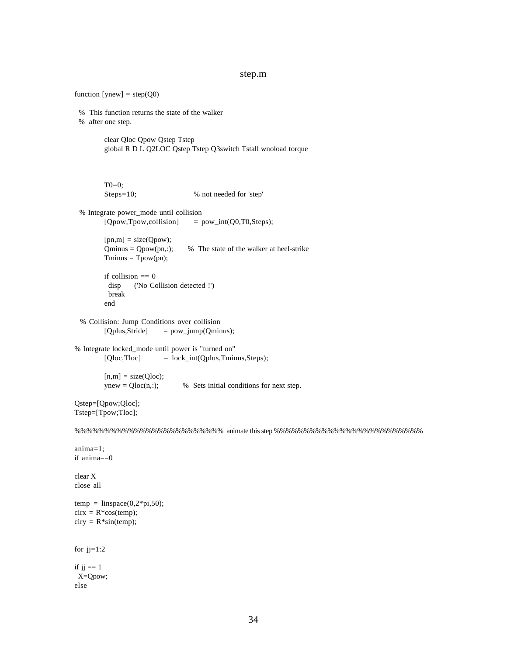#### step.m

```
function [ynew] = step(Q0) % This function returns the state of the walker
  % after one step.
        clear Qloc Qpow Qstep Tstep
        global R D L Q2LOC Qstep Tstep Q3switch Tstall wnoload torque
        T0=0;Steps=10; % not needed for 'step'
  % Integrate power_mode until collision
        [Qpow, Tpow, collision] = pow\_int(Q0, T0, Steps);[pn,m] = size(Qpow);Qminus = Qpow(pn,:); % The state of the walker at heel-strike
        Tminus = Tpow(pn);
        if collision == 0 disp ('No Collision detected !')
          break
        end
  % Collision: Jump Conditions over collision
        [Qplus,Stride] = pow_jump(Qminus);
% Integrate locked_mode until power is "turned on"
        [Qloc,Tloc] = lock_int(Qplus,Tminus,Steps);
        [n,m] = size(Qloc);ynew = Qloc(n,:); % Sets initial conditions for next step.
Qstep=[Qpow;Qloc];
Tstep=[Tpow;Tloc];
%%%%%%%%%%%%%%%%%%%%%%%%% animate this step %%%%%%%%%%%%%%%%%%%%%%%%%
anima=1;
if anima==0
clear X
close all
temp = linspace(0,2*pi,50);cirx = R*cos(temp);
ciry = R*sin(temp);for jj=1:2if jj == 1 X=Qpow;
else
```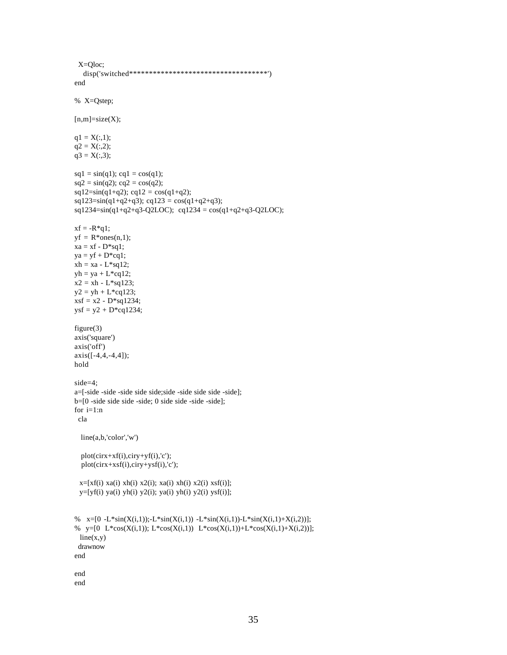```
 X=Qloc;
   disp('switched***********************************')
end
% X=Qstep;
[n,m]=size(X);q1 = X(:,1);q2 = X(:,2);q3 = X(:,3);sq1 = \sin(q1); cq1 = \cos(q1);
sq2 = \sin(q2); cq2 = \cos(q2);
sq12=sin(q1+q2); cq12 = cos(q1+q2);sq123=sin(q1+q2+q3); cq123 = cos(q1+q2+q3);sq1234 = \sin(q1+q2+q3-Q2LOC); cq1234 = \cos(q1+q2+q3-Q2LOC);
xf = -R*q1;yf = R^*ones(n,1);xa = xf - D*sq1;ya = yf + D*cq1;xh = xa - L*sq12;yh = ya + L*cq12;x2 = xh - L*sq123;y2 = yh + L * cg123;xsf = x2 - D*sq1234;ysf = y2 + D*cq1234;figure(3)
axis('square')
axis('off')
axis([-4,4,-4,4]);hold
side=4;
a=[-side -side -side side side;side -side side side -side];
b=[0 -side side side -side; 0 side side -side -side];
for i=1:n
  cla
  line(a,b,'color','w')
  plot(cirx+xf(i),ciry+yf(i),'c'); plot(cirx+xsf(i),ciry+ysf(i),'c');
 x=[xf(i) xa(i) xh(i) x2(i); xa(i) xh(i) x2(i); xs(i)];y=[yf(i) ya(i) yh(i) y2(i); ya(i) yh(i) y2(i); ysf(i)];% x=[0 -L*sin(X(i,1));-L*sin(X(i,1)) -L*sin(X(i,1))-L*sin(X(i,1)+X(i,2))];% y=[0 L*cos(X(i,1)); L*cos(X(i,1)) L*cos(X(i,1))+L*cos(X(i,1)+X(i,2))];
 line(x,y) drawnow
end
end
end
```